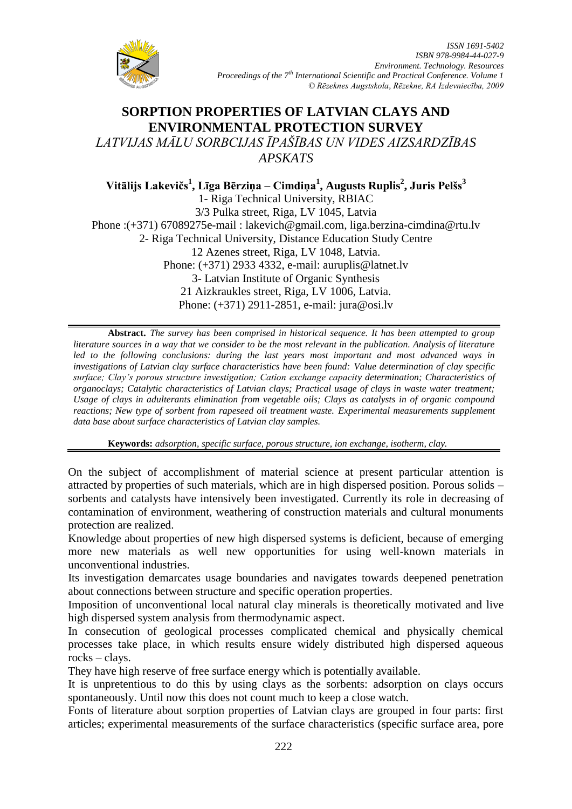

# **SORPTION PROPERTIES OF LATVIAN CLAYS AND ENVIRONMENTAL PROTECTION SURVEY** *LATVIJAS MĀLU SORBCIJAS ĪPAŠĪBAS UN VIDES AIZSARDZĪBAS APSKATS*

**Vitālijs Lakevičs<sup>1</sup> , Līga Bērziņa – Cimdiņa<sup>1</sup> , Augusts Ruplis<sup>2</sup> , Juris Pelšs<sup>3</sup>** 1- Riga Technical University, RBIAC 3/3 Pulka street, Riga, LV 1045, Latvia Phone :(+371) 67089275e-mail : [lakevich@gmail.com,](mailto:lakevich@gmail.com) [liga.berzina-cimdina@rtu.lv](mailto:liga.berzina-cimdina@rtu.lv) 2- Riga Technical University, Distance Education Study Centre 12 Azenes street, Riga, LV 1048, Latvia. Phone: (+371) 2933 4332, e-mail: [auruplis@latnet.lv](mailto:auruplis@latnet.lv) 3- Latvian Institute of Organic Synthesis 21 Aizkraukles street, Riga, LV 1006, Latvia. Phone: (+371) 2911-2851, e-mail: [jura@osi.lv](mailto:jura@osi.lv)

**Abstract.** *The survey has been comprised in historical sequence. It has been attempted to group literature sources in a way that we consider to be the most relevant in the publication. Analysis of literature led to the following conclusions: during the last years most important and most advanced ways in investigations of Latvian clay surface characteristics have been found: Value determination of clay specific surface; Clay's porous structure investigation; Cation exchange capacity determination; Characteristics of organoclays; Catalytic characteristics of Latvian clays; Practical usage of clays in waste water treatment; Usage of clays in adulterants elimination from vegetable oils; Clays as catalysts in of organic compound reactions; New type of sorbent from rapeseed oil treatment waste. Experimental measurements supplement data base about surface characteristics of Latvian clay samples.*

**Keywords:** *adsorption, specific surface, porous structure, ion exchange, isotherm, clay.*

On the subject of accomplishment of material science at present particular attention is attracted by properties of such materials, which are in high dispersed position. Porous solids – sorbents and catalysts have intensively been investigated. Currently its role in decreasing of contamination of environment, weathering of construction materials and cultural monuments protection are realized.

Knowledge about properties of new high dispersed systems is deficient, because of emerging more new materials as well new opportunities for using well-known materials in unconventional industries.

Its investigation demarcates usage boundaries and navigates towards deepened penetration about connections between structure and specific operation properties.

Imposition of unconventional local natural clay minerals is theoretically motivated and live high dispersed system analysis from thermodynamic aspect.

In consecution of geological processes complicated chemical and physically chemical processes take place, in which results ensure widely distributed high dispersed aqueous rocks – clays.

They have high reserve of free surface energy which is potentially available.

It is unpretentious to do this by using clays as the sorbents: adsorption on clays occurs spontaneously. Until now this does not count much to keep a close watch.

Fonts of literature about sorption properties of Latvian clays are grouped in four parts: first articles; experimental measurements of the surface characteristics (specific surface area, pore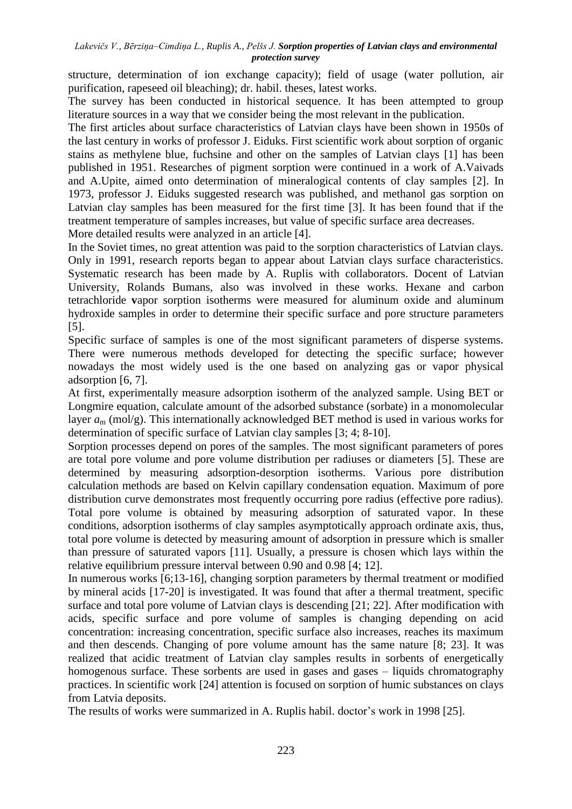structure, determination of ion exchange capacity); field of usage (water pollution, air purification, rapeseed oil bleaching); dr. habil. theses, latest works.

The survey has been conducted in historical sequence. It has been attempted to group literature sources in a way that we consider being the most relevant in the publication.

The first articles about surface characteristics of Latvian clays have been shown in 1950s of the last century in works of professor J. Eiduks. First scientific work about sorption of organic stains as methylene blue, fuchsine and other on the samples of Latvian clays [1] has been published in 1951. Researches of pigment sorption were continued in a work of A.Vaivads and A.Upite, aimed onto determination of mineralogical contents of clay samples [2]. In 1973, professor J. Eiduks suggested research was published, and methanol gas sorption on Latvian clay samples has been measured for the first time [3]. It has been found that if the treatment temperature of samples increases, but value of specific surface area decreases.

More detailed results were analyzed in an article [4].

In the Soviet times, no great attention was paid to the sorption characteristics of Latvian clays. Only in 1991, research reports began to appear about Latvian clays surface characteristics. Systematic research has been made by A. Ruplis with collaborators. Docent of Latvian University, Rolands Bumans, also was involved in these works. Hexane and carbon tetrachloride **v**apor sorption isotherms were measured for aluminum oxide and aluminum hydroxide samples in order to determine their specific surface and pore structure parameters [5].

Specific surface of samples is one of the most significant parameters of disperse systems. There were numerous methods developed for detecting the specific surface; however nowadays the most widely used is the one based on analyzing gas or vapor physical adsorption [6, 7].

At first, experimentally measure adsorption isotherm of the analyzed sample. Using BET or Longmire equation, calculate amount of the adsorbed substance (sorbate) in a monomolecular layer *a*<sup>m</sup> (mol/g). This internationally acknowledged BET method is used in various works for determination of specific surface of Latvian clay samples [3; 4; 8-10].

Sorption processes depend on pores of the samples. The most significant parameters of pores are total pore volume and pore volume distribution per radiuses or diameters [5]. These are determined by measuring adsorption-desorption isotherms. Various pore distribution calculation methods are based on Kelvin capillary condensation equation. Maximum of pore distribution curve demonstrates most frequently occurring pore radius (effective pore radius). Total pore volume is obtained by measuring adsorption of saturated vapor. In these conditions, adsorption isotherms of clay samples asymptotically approach ordinate axis, thus, total pore volume is detected by measuring amount of adsorption in pressure which is smaller than pressure of saturated vapors [11]. Usually, a pressure is chosen which lays within the relative equilibrium pressure interval between 0.90 and 0.98 [4; 12].

In numerous works [6;13-16], changing sorption parameters by thermal treatment or modified by mineral acids [17-20] is investigated. It was found that after a thermal treatment, specific surface and total pore volume of Latvian clays is descending [21; 22]. After modification with acids, specific surface and pore volume of samples is changing depending on acid concentration: increasing concentration, specific surface also increases, reaches its maximum and then descends. Changing of pore volume amount has the same nature [8; 23]. It was realized that acidic treatment of Latvian clay samples results in sorbents of energetically homogenous surface. These sorbents are used in gases and gases – liquids chromatography practices. In scientific work [24] attention is focused on sorption of humic substances on clays from Latvia deposits.

The results of works were summarized in A. Ruplis habil. doctor's work in 1998 [25].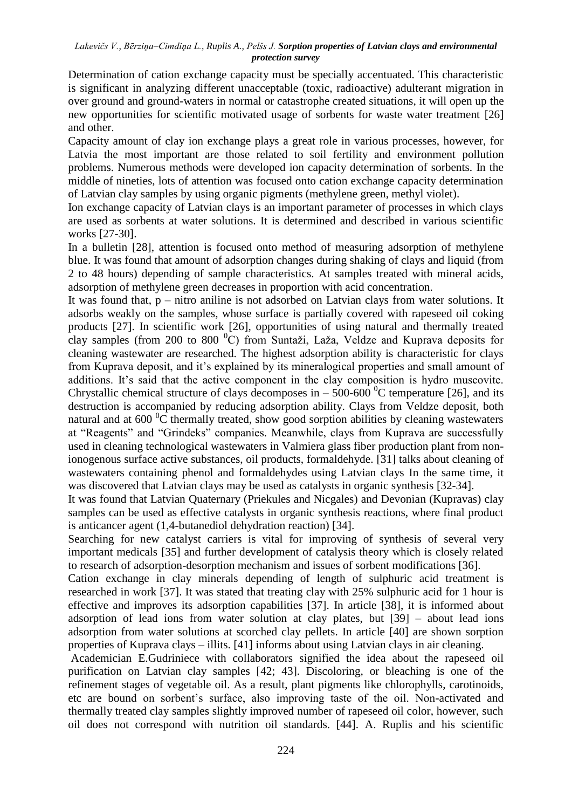Determination of cation exchange capacity must be specially accentuated. This characteristic is significant in analyzing different unacceptable (toxic, radioactive) adulterant migration in over ground and ground-waters in normal or catastrophe created situations, it will open up the new opportunities for scientific motivated usage of sorbents for waste water treatment [26] and other.

Capacity amount of clay ion exchange plays a great role in various processes, however, for Latvia the most important are those related to soil fertility and environment pollution problems. Numerous methods were developed ion capacity determination of sorbents. In the middle of nineties, lots of attention was focused onto cation exchange capacity determination of Latvian clay samples by using organic pigments (methylene green, methyl violet).

Ion exchange capacity of Latvian clays is an important parameter of processes in which clays are used as sorbents at water solutions. It is determined and described in various scientific works [27-30].

In a bulletin [28], attention is focused onto method of measuring adsorption of methylene blue. It was found that amount of adsorption changes during shaking of clays and liquid (from 2 to 48 hours) depending of sample characteristics. At samples treated with mineral acids, adsorption of methylene green decreases in proportion with acid concentration.

It was found that, p – nitro aniline is not adsorbed on Latvian clays from water solutions. It adsorbs weakly on the samples, whose surface is partially covered with rapeseed oil coking products [27]. In scientific work [26], opportunities of using natural and thermally treated clay samples (from 200 to 800  $^{\circ}$ C) from Suntaži, Laža, Veldze and Kuprava deposits for cleaning wastewater are researched. The highest adsorption ability is characteristic for clays from Kuprava deposit, and it's explained by its mineralogical properties and small amount of additions. It's said that the active component in the clay composition is hydro muscovite. Chrystallic chemical structure of clays decomposes in  $-500-600$  °C temperature [26], and its destruction is accompanied by reducing adsorption ability. Clays from Veldze deposit, both natural and at  $600<sup>0</sup>C$  thermally treated, show good sorption abilities by cleaning wastewaters at "Reagents" and "Grindeks" companies. Meanwhile, clays from Kuprava are successfully used in cleaning technological wastewaters in Valmiera glass fiber production plant from nonionogenous surface active substances, oil products, formaldehyde. [31] talks about cleaning of wastewaters containing phenol and formaldehydes using Latvian clays In the same time, it was discovered that Latvian clays may be used as catalysts in organic synthesis [32-34].

It was found that Latvian Quaternary (Priekules and Nicgales) and Devonian (Kupravas) clay samples can be used as effective catalysts in organic synthesis reactions, where final product is anticancer agent (1,4-butanediol dehydration reaction) [34].

Searching for new catalyst carriers is vital for improving of synthesis of several very important medicals [35] and further development of catalysis theory which is closely related to research of adsorption-desorption mechanism and issues of sorbent modifications [36].

Cation exchange in clay minerals depending of length of sulphuric acid treatment is researched in work [37]. It was stated that treating clay with 25% sulphuric acid for 1 hour is effective and improves its adsorption capabilities [37]. In article [38], it is informed about adsorption of lead ions from water solution at clay plates, but [39] – about lead ions adsorption from water solutions at scorched clay pellets. In article [40] are shown sorption properties of Kuprava clays – illits. [41] informs about using Latvian clays in air cleaning.

Academician E.Gudriniece with collaborators signified the idea about the rapeseed oil purification on Latvian clay samples [42; 43]. Discoloring, or bleaching is one of the refinement stages of vegetable oil. As a result, plant pigments like chlorophylls, carotinoids, etc are bound on sorbent's surface, also improving taste of the oil. Non-activated and thermally treated clay samples slightly improved number of rapeseed oil color, however, such oil does not correspond with nutrition oil standards. [44]. A. Ruplis and his scientific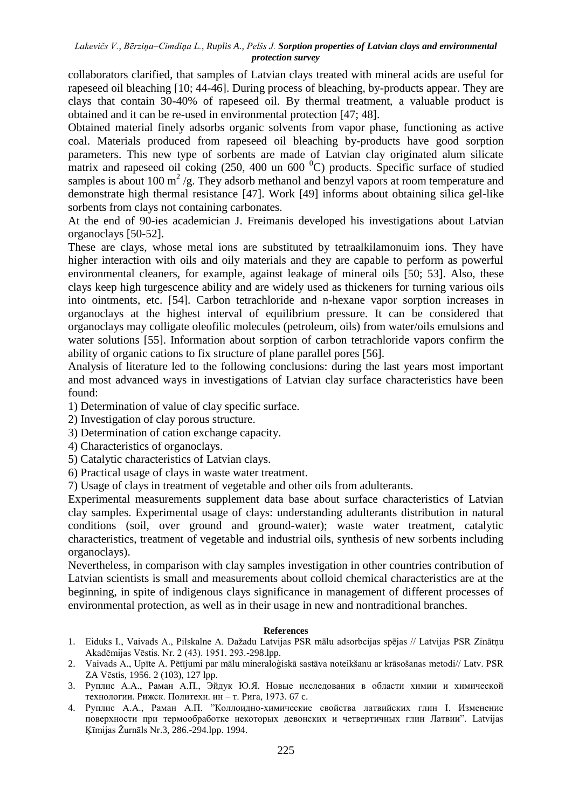collaborators clarified, that samples of Latvian clays treated with mineral acids are useful for rapeseed oil bleaching [10; 44-46]. During process of bleaching, by-products appear. They are clays that contain 30-40% of rapeseed oil. By thermal treatment, a valuable product is obtained and it can be re-used in environmental protection [47; 48].

Obtained material finely adsorbs organic solvents from vapor phase, functioning as active coal. Materials produced from rapeseed oil bleaching by-products have good sorption parameters. This new type of sorbents are made of Latvian clay originated alum silicate matrix and rapeseed oil coking  $(250, 400 \text{ un } 600 \text{ °C})$  products. Specific surface of studied samples is about 100  $m^2/g$ . They adsorb methanol and benzyl vapors at room temperature and demonstrate high thermal resistance [47]. Work [49] informs about obtaining silica gel-like sorbents from clays not containing carbonates.

At the end of 90-ies academician J. Freimanis developed his investigations about Latvian organoclays [50-52].

These are clays, whose metal ions are substituted by tetraalkilamonuim ions. They have higher interaction with oils and oily materials and they are capable to perform as powerful environmental cleaners, for example, against leakage of mineral oils [50; 53]. Also, these clays keep high turgescence ability and are widely used as thickeners for turning various oils into ointments, etc. [54]. Carbon tetrachloride and n-hexane vapor sorption increases in organoclays at the highest interval of equilibrium pressure. It can be considered that organoclays may colligate oleofilic molecules (petroleum, oils) from water/oils emulsions and water solutions [55]. Information about sorption of carbon tetrachloride vapors confirm the ability of organic cations to fix structure of plane parallel pores [56].

Analysis of literature led to the following conclusions: during the last years most important and most advanced ways in investigations of Latvian clay surface characteristics have been found:

1) Determination of value of clay specific surface.

- 2) Investigation of clay porous structure.
- 3) Determination of cation exchange capacity.
- 4) Characteristics of organoclays.
- 5) Catalytic characteristics of Latvian clays.
- 6) Practical usage of clays in waste water treatment.

7) Usage of clays in treatment of vegetable and other oils from adulterants.

Experimental measurements supplement data base about surface characteristics of Latvian clay samples. Experimental usage of clays: understanding adulterants distribution in natural conditions (soil, over ground and ground-water); waste water treatment, catalytic characteristics, treatment of vegetable and industrial oils, synthesis of new sorbents including organoclays).

Nevertheless, in comparison with clay samples investigation in other countries contribution of Latvian scientists is small and measurements about colloid chemical characteristics are at the beginning, in spite of indigenous clays significance in management of different processes of environmental protection, as well as in their usage in new and nontraditional branches.

### **References**

- 1. Eiduks I., Vaivads A., Pilskalne A. Dažadu Latvijas PSR mālu adsorbcijas spējas // Latvijas PSR Zinātņu Akadēmijas Vēstis. Nr. 2 (43). 1951. 293.-298.lpp.
- 2. Vaivads A., Upīte A. Pētījumi par mālu mineraloģiskā sastāva noteikšanu ar krāsošanas metodi// Latv. PSR ZA Vēstis, 1956. 2 (103), 127 lpp.
- 3. Руплис А.А., Раман А.П., Эйдук Ю.Я. Новые исследования в области химии и химической технологии. Рижск. Политехн. ин – т. Рига, 1973. 67 c.
- 4. Руплис А.А., Раман А.П. "Коллоидно-химические свойства латвийских глин I. Изменение поверхности при термообработке некоторых девонских и четвертичных глин Латвии". Latvijas Ķīmijas Žurnāls Nr.3, 286.-294.lpp. 1994.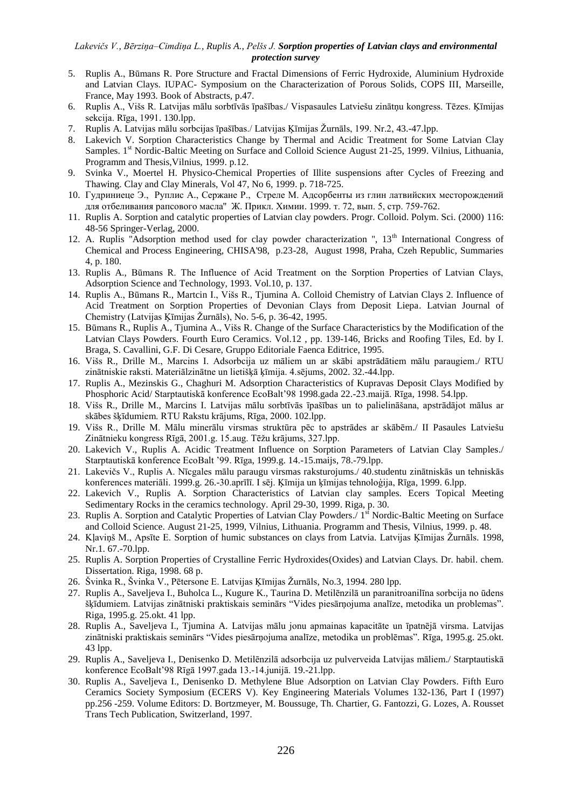- 5. Ruplis A., Būmans R. Pore Structure and Fractal Dimensions of Ferric Hydroxide, Aluminium Hydroxide and Latvian Clays. IUPAC- Symposium on the Characterization of Porous Solids, COPS III, Marseille, France, May 1993. Book of Abstracts, p.47.
- 6. Ruplis A., Višs R. Latvijas mālu sorbtīvās īpašības./ Vispasaules Latviešu zinātņu kongress. Tēzes. Ķīmijas sekcija. Rīga, 1991. 130.lpp.
- 7. Ruplis A. Latvijas mālu sorbcijas īpašības./ Latvijas Ķīmijas Žurnāls, 199. Nr.2, 43.-47.lpp.
- 8. Lakevich V. Sorption Characteristics Change by Thermal and Acidic Treatment for Some Latvian Clay Samples. 1<sup>st</sup> Nordic-Baltic Meeting on Surface and Colloid Science August 21-25, 1999. Vilnius, Lithuania, Programm and Thesis,Vilnius, 1999. p.12.
- 9. Svinka V., Moertel H. Physico-Chemical Properties of Illite suspensions after Cycles of Freezing and Thawing. Clay and Clay Minerals, Vol 47, No 6, 1999. p. 718-725.
- 10. Гудриниеце Э., Руплис А., Сержане Р., Стреле М. Адсорбенты из глин латвийских месторождений для отбеливания рапсового масла'' Ж. Прикл. Химии. 1999. т. 72, вып. 5, стр. 759-762.
- 11. Ruplis A. Sorption and catalytic properties of Latvian clay powders. Progr. Colloid. Polym. Sci. (2000) 116: 48-56 Springer-Verlag, 2000.
- 12. A. Ruplis "Adsorption method used for clay powder characterization ",  $13<sup>th</sup>$  International Congress of Chemical and Process Engineering, CHISA'98, p.23-28, August 1998, Praha, Czeh Republic, Summaries 4, p. 180.
- 13. Ruplis A., Būmans R. The Influence of Acid Treatment on the Sorption Properties of Latvian Clays, Adsorption Science and Technology, 1993. Vol.10, p. 137.
- 14. Ruplis A., Būmans R., Martcin I., Višs R., Tjumina A. Colloid Chemistry of Latvian Clays 2. Influence of Acid Treatment on Sorption Properties of Devonian Clays from Deposit Liepa. Latvian Journal of Chemistry (Latvijas Ķīmijas Žurnāls), No. 5-6, p. 36-42, 1995.
- 15. Būmans R., Ruplis A., Tjumina A., Višs R. Change of the Surface Characteristics by the Modification of the Latvian Clays Powders. Fourth Euro Ceramics. Vol.12 , pp. 139-146, Bricks and Roofing Tiles, Ed. by I. Braga, S. Cavallini, G.F. Di Cesare, Gruppo Editoriale Faenca Editrice, 1995.
- 16. Višs R., Drille M., Marcins I. Adsorbcija uz māliem un ar skābi apstrādātiem mālu paraugiem./ RTU zinātniskie raksti. Materiālzinātne un lietišķā ķīmija. 4.sējums, 2002. 32.-44.lpp.
- 17. Ruplis A., Mezinskis G., Chaghuri M. Adsorption Characteristics of Kupravas Deposit Clays Modified by Phosphoric Acid/ Starptautiskā konference EcoBalt'98 1998.gada 22.-23.maijā. Rīga, 1998. 54.lpp.
- 18. Višs R., Drille M., Marcins I. Latvijas mālu sorbtīvās īpašības un to palielināšana, apstrādājot mālus ar skābes šķīdumiem. RTU Rakstu krājums, Rīga, 2000. 102.lpp.
- 19. Višs R., Drille M. Mālu minerālu virsmas struktūra pēc to apstrādes ar skābēm./ II Pasaules Latviešu Zinātnieku kongress Rīgā, 2001.g. 15.aug. Tēžu krājums, 327.lpp.
- 20. Lakevich V., Ruplis A. Acidic Treatment Influence on Sorption Parameters of Latvian Clay Samples./ Starptautiskā konference EcoBalt '99. Rīga, 1999.g. 14.-15.maijs, 78.-79.lpp.
- 21. Lakevičs V., Ruplis A. Nīcgales mālu paraugu virsmas raksturojums./ 40.studentu zinātniskās un tehniskās konferences materiāli. 1999.g. 26.-30.aprīlī. I sēj. Ķīmija un ķīmijas tehnoloģija, Rīga, 1999. 6.lpp.
- 22. Lakevich V., Ruplis A. Sorption Characteristics of Latvian clay samples. Ecers Topical Meeting Sedimentary Rocks in the ceramics technology. April 29-30, 1999. Riga, p. 30.
- 23. Ruplis A. Sorption and Catalytic Properties of Latvian Clay Powders. <sup>1st</sup> Nordic-Baltic Meeting on Surface and Colloid Science. August 21-25, 1999, Vilnius, Lithuania. Programm and Thesis, Vilnius, 1999. p. 48.
- 24. Kļaviņš M., Apsīte E. Sorption of humic substances on clays from Latvia. Latvijas Ķīmijas Žurnāls. 1998, Nr.1. 67.-70.lpp.
- 25. Ruplis A. Sorption Properties of Crystalline Ferric Hydroxides(Oxides) and Latvian Clays. Dr. habil. chem. Dissertation. Riga, 1998. 68 p.
- 26. Švinka R., Švinka V., Pētersone E. Latvijas Ķīmijas Ţurnāls, No.3, 1994. 280 lpp.
- 27. Ruplis A., Saveljeva I., Buholca L., Kugure K., Taurina D. Metilēnzilā un paranitroanilīna sorbcija no ūdens šķīdumiem. Latvijas zinātniski praktiskais seminārs "Vides piesārņojuma analīze, metodika un problemas". Riga, 1995.g. 25.okt. 41 lpp.
- 28. Ruplis A., Saveljeva I., Tjumina A. Latvijas mālu jonu apmainas kapacitāte un īpatnējā virsma. Latvijas zinātniski praktiskais seminārs "Vides piesārņojuma analīze, metodika un problēmas". Rīga, 1995.g. 25.okt. 43 lpp.
- 29. Ruplis A., Saveljeva I., Denisenko D. Metilēnzilā adsorbcija uz pulverveida Latvijas māliem./ Starptautiskā konference EcoBalt'98 Rīgā 1997.gada 13.-14.junijā. 19.-21.lpp.
- 30. Ruplis A., Saveljeva I., Denisenko D. Methylene Blue Adsorption on Latvian Clay Powders. Fifth Euro Ceramics Society Symposium (ECERS V). Key Engineering Materials Volumes 132-136, Part I (1997) pp.256 -259. Volume Editors: D. Bortzmeyer, M. Boussuge, Th. Chartier, G. Fantozzi, G. Lozes, A. Rousset Trans Tech Publication, Switzerland, 1997.